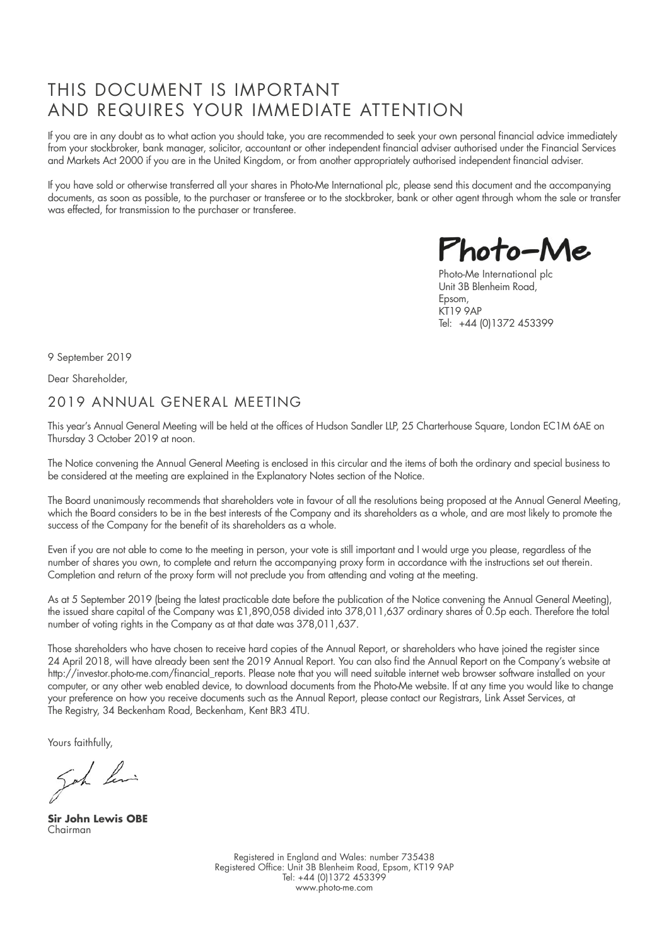## THIS DOCUMENT IS IMPORTANT AND REQUIRES YOUR IMMEDIATE ATTENTION

If you are in any doubt as to what action you should take, you are recommended to seek your own personal financial advice immediately from your stockbroker, bank manager, solicitor, accountant or other independent financial adviser authorised under the Financial Services and Markets Act 2000 if you are in the United Kingdom, or from another appropriately authorised independent financial adviser.

If you have sold or otherwise transferred all your shares in Photo-Me International plc, please send this document and the accompanying documents, as soon as possible, to the purchaser or transferee or to the stockbroker, bank or other agent through whom the sale or transfer was effected, for transmission to the purchaser or transferee.

Photo-Me

Photo-Me International plc Unit 3B Blenheim Road, Epsom, KT19 9AP Tel: +44 (0)1372 453399

9 September 2019

Dear Shareholder,

### 2019 ANNUAL GENERAL MEETING

This year's Annual General Meeting will be held at the offices of Hudson Sandler LLP, 25 Charterhouse Square, London EC1M 6AE on Thursday 3 October 2019 at noon.

The Notice convening the Annual General Meeting is enclosed in this circular and the items of both the ordinary and special business to be considered at the meeting are explained in the Explanatory Notes section of the Notice.

The Board unanimously recommends that shareholders vote in favour of all the resolutions being proposed at the Annual General Meeting, which the Board considers to be in the best interests of the Company and its shareholders as a whole, and are most likely to promote the success of the Company for the benefit of its shareholders as a whole.

Even if you are not able to come to the meeting in person, your vote is still important and I would urge you please, regardless of the number of shares you own, to complete and return the accompanying proxy form in accordance with the instructions set out therein. Completion and return of the proxy form will not preclude you from attending and voting at the meeting.

As at 5 September 2019 (being the latest practicable date before the publication of the Notice convening the Annual General Meeting), the issued share capital of the Company was £1,890,058 divided into 378,011,637 ordinary shares of 0.5p each. Therefore the total number of voting rights in the Company as at that date was 378,011,637.

Those shareholders who have chosen to receive hard copies of the Annual Report, or shareholders who have joined the register since 24 April 2018, will have already been sent the 2019 Annual Report. You can also find the Annual Report on the Company's website at http://investor.photo-me.com/financial\_reports. Please note that you will need suitable internet web browser software installed on your computer, or any other web enabled device, to download documents from the Photo-Me website. If at any time you would like to change your preference on how you receive documents such as the Annual Report, please contact our Registrars, Link Asset Services, at The Registry, 34 Beckenham Road, Beckenham, Kent BR3 4TU.

Yours faithfully,

goh hi

**Sir John Lewis OBE** Chairman

Registered in England and Wales: number 735438 Registered Office: Unit 3B Blenheim Road, Epsom, KT19 9AP Tel: +44 (0)1372 453399 www.photo-me.com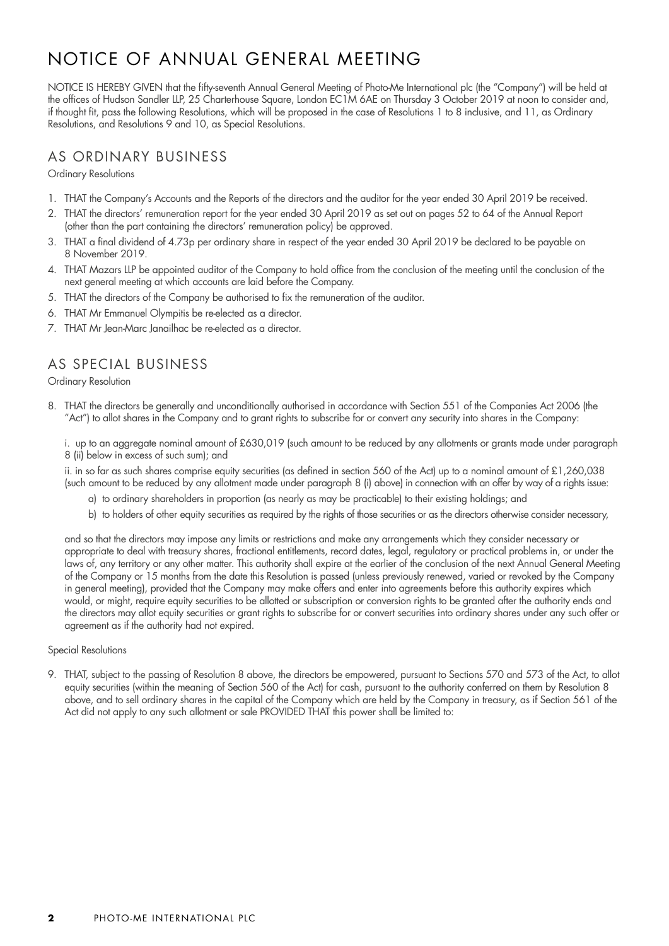# NOTICE OF ANNUAL GENERAL MEETING

NOTICE IS HEREBY GIVEN that the fifty-seventh Annual General Meeting of Photo-Me International plc (the "Company") will be held at the offices of Hudson Sandler LLP, 25 Charterhouse Square, London EC1M 6AE on Thursday 3 October 2019 at noon to consider and, if thought fit, pass the following Resolutions, which will be proposed in the case of Resolutions 1 to 8 inclusive, and 11, as Ordinary Resolutions, and Resolutions 9 and 10, as Special Resolutions.

### AS ORDINARY BUSINESS

Ordinary Resolutions

- 1. THAT the Company's Accounts and the Reports of the directors and the auditor for the year ended 30 April 2019 be received.
- 2. THAT the directors' remuneration report for the year ended 30 April 2019 as set out on pages 52 to 64 of the Annual Report (other than the part containing the directors' remuneration policy) be approved.
- 3. THAT a final dividend of 4.73p per ordinary share in respect of the year ended 30 April 2019 be declared to be payable on 8 November 2019.
- 4. THAT Mazars LLP be appointed auditor of the Company to hold office from the conclusion of the meeting until the conclusion of the next general meeting at which accounts are laid before the Company.
- 5. THAT the directors of the Company be authorised to fix the remuneration of the auditor.
- 6. THAT Mr Emmanuel Olympitis be re-elected as a director.
- 7. THAT Mr Jean-Marc Janailhac be re-elected as a director.

## AS SPECIAL BUSINESS

Ordinary Resolution

8. THAT the directors be generally and unconditionally authorised in accordance with Section 551 of the Companies Act 2006 (the "Act") to allot shares in the Company and to grant rights to subscribe for or convert any security into shares in the Company:

i. up to an aggregate nominal amount of £630,019 (such amount to be reduced by any allotments or grants made under paragraph 8 (ii) below in excess of such sum); and

ii. in so far as such shares comprise equity securities (as defined in section 560 of the Act) up to a nominal amount of £1,260,038 (such amount to be reduced by any allotment made under paragraph 8 (i) above) in connection with an offer by way of a rights issue:

- a) to ordinary shareholders in proportion (as nearly as may be practicable) to their existing holdings; and
- b) to holders of other equity securities as required by the rights of those securities or as the directors otherwise consider necessary,

and so that the directors may impose any limits or restrictions and make any arrangements which they consider necessary or appropriate to deal with treasury shares, fractional entitlements, record dates, legal, regulatory or practical problems in, or under the laws of, any territory or any other matter. This authority shall expire at the earlier of the conclusion of the next Annual General Meeting of the Company or 15 months from the date this Resolution is passed (unless previously renewed, varied or revoked by the Company in general meeting), provided that the Company may make offers and enter into agreements before this authority expires which would, or might, require equity securities to be allotted or subscription or conversion rights to be granted after the authority ends and the directors may allot equity securities or grant rights to subscribe for or convert securities into ordinary shares under any such offer or agreement as if the authority had not expired.

#### Special Resolutions

9. THAT, subject to the passing of Resolution 8 above, the directors be empowered, pursuant to Sections 570 and 573 of the Act, to allot equity securities (within the meaning of Section 560 of the Act) for cash, pursuant to the authority conferred on them by Resolution 8 above, and to sell ordinary shares in the capital of the Company which are held by the Company in treasury, as if Section 561 of the Act did not apply to any such allotment or sale PROVIDED THAT this power shall be limited to: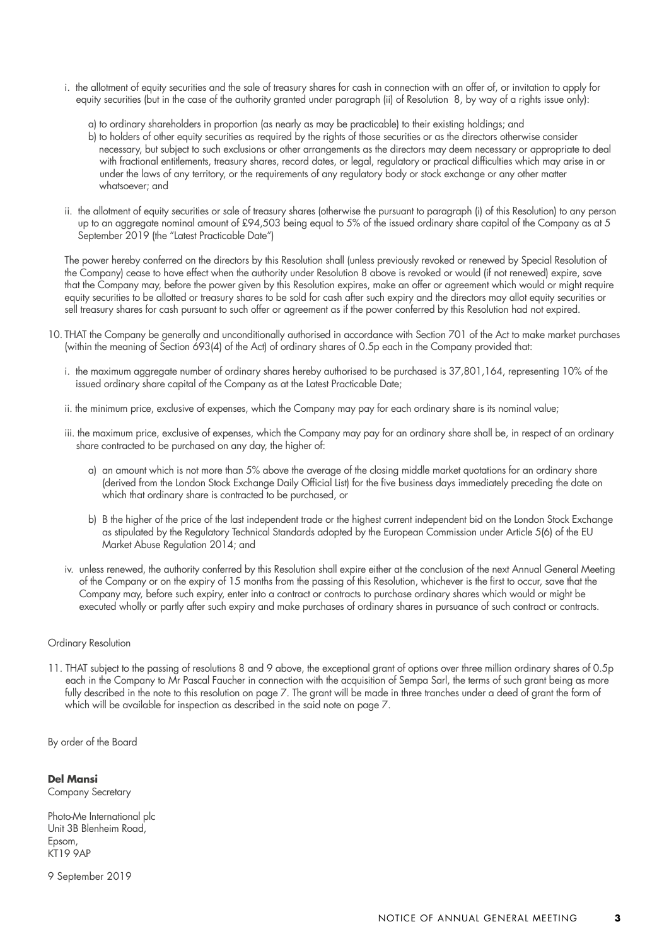- i. the allotment of equity securities and the sale of treasury shares for cash in connection with an offer of, or invitation to apply for equity securities (but in the case of the authority granted under paragraph (ii) of Resolution 8, by way of a rights issue only):
	- a) to ordinary shareholders in proportion (as nearly as may be practicable) to their existing holdings; and
	- b) to holders of other equity securities as required by the rights of those securities or as the directors otherwise consider necessary, but subject to such exclusions or other arrangements as the directors may deem necessary or appropriate to deal with fractional entitlements, treasury shares, record dates, or legal, regulatory or practical difficulties which may arise in or under the laws of any territory, or the requirements of any regulatory body or stock exchange or any other matter whatsoever; and
- ii. the allotment of equity securities or sale of treasury shares (otherwise the pursuant to paragraph (i) of this Resolution) to any person up to an aggregate nominal amount of £94,503 being equal to 5% of the issued ordinary share capital of the Company as at 5 September 2019 (the "Latest Practicable Date")

The power hereby conferred on the directors by this Resolution shall (unless previously revoked or renewed by Special Resolution of the Company) cease to have effect when the authority under Resolution 8 above is revoked or would (if not renewed) expire, save that the Company may, before the power given by this Resolution expires, make an offer or agreement which would or might require equity securities to be allotted or treasury shares to be sold for cash after such expiry and the directors may allot equity securities or sell treasury shares for cash pursuant to such offer or agreement as if the power conferred by this Resolution had not expired.

- 10. THAT the Company be generally and unconditionally authorised in accordance with Section 701 of the Act to make market purchases (within the meaning of Section 693(4) of the Act) of ordinary shares of 0.5p each in the Company provided that:
	- i. the maximum aggregate number of ordinary shares hereby authorised to be purchased is 37,801,164, representing 10% of the issued ordinary share capital of the Company as at the Latest Practicable Date;
	- ii. the minimum price, exclusive of expenses, which the Company may pay for each ordinary share is its nominal value;
	- iii. the maximum price, exclusive of expenses, which the Company may pay for an ordinary share shall be, in respect of an ordinary share contracted to be purchased on any day, the higher of:
		- a) an amount which is not more than 5% above the average of the closing middle market quotations for an ordinary share (derived from the London Stock Exchange Daily Official List) for the five business days immediately preceding the date on which that ordinary share is contracted to be purchased, or
		- b) B the higher of the price of the last independent trade or the highest current independent bid on the London Stock Exchange as stipulated by the Regulatory Technical Standards adopted by the European Commission under Article 5(6) of the EU Market Abuse Regulation 2014; and
	- iv. unless renewed, the authority conferred by this Resolution shall expire either at the conclusion of the next Annual General Meeting of the Company or on the expiry of 15 months from the passing of this Resolution, whichever is the first to occur, save that the Company may, before such expiry, enter into a contract or contracts to purchase ordinary shares which would or might be executed wholly or partly after such expiry and make purchases of ordinary shares in pursuance of such contract or contracts.

#### Ordinary Resolution

11. THAT subject to the passing of resolutions 8 and 9 above, the exceptional grant of options over three million ordinary shares of 0.5p each in the Company to Mr Pascal Faucher in connection with the acquisition of Sempa Sarl, the terms of such grant being as more fully described in the note to this resolution on page 7. The grant will be made in three tranches under a deed of grant the form of which will be available for inspection as described in the said note on page 7.

By order of the Board

#### **Del Mansi**

Company Secretary

Photo-Me International plc Unit 3B Blenheim Road, Epsom, KT19 9AP

9 September 2019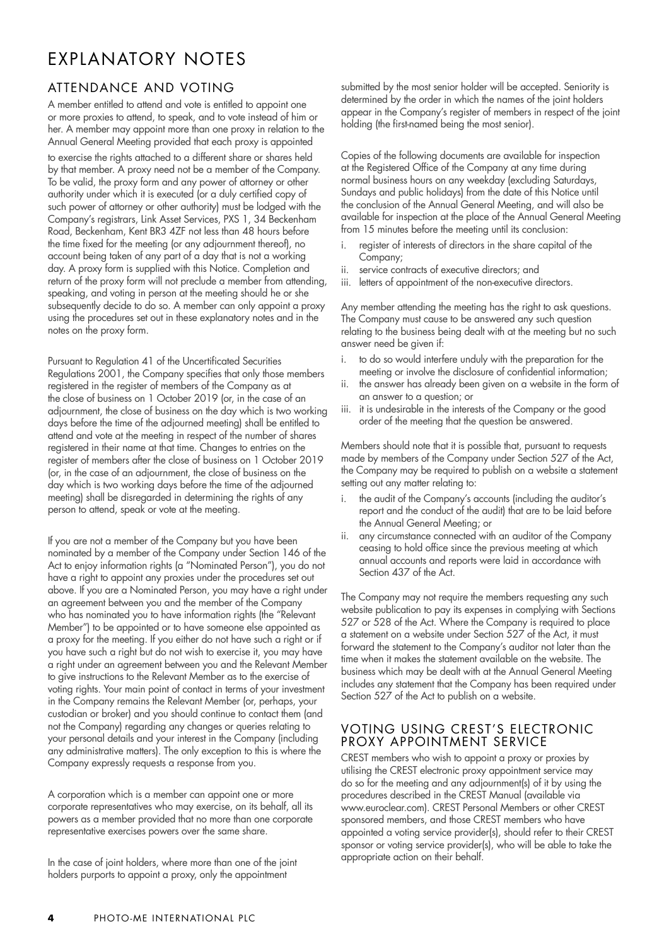# EXPLANATORY NOTES

### ATTENDANCE AND VOTING

A member entitled to attend and vote is entitled to appoint one or more proxies to attend, to speak, and to vote instead of him or her. A member may appoint more than one proxy in relation to the Annual General Meeting provided that each proxy is appointed to exercise the rights attached to a different share or shares held by that member. A proxy need not be a member of the Company. To be valid, the proxy form and any power of attorney or other authority under which it is executed (or a duly certified copy of such power of attorney or other authority) must be lodged with the Company's registrars, Link Asset Services, PXS 1, 34 Beckenham Road, Beckenham, Kent BR3 4ZF not less than 48 hours before the time fixed for the meeting (or any adjournment thereof), no account being taken of any part of a day that is not a working day. A proxy form is supplied with this Notice. Completion and return of the proxy form will not preclude a member from attending, speaking, and voting in person at the meeting should he or she subsequently decide to do so. A member can only appoint a proxy using the procedures set out in these explanatory notes and in the notes on the proxy form.

Pursuant to Regulation 41 of the Uncertificated Securities Regulations 2001, the Company specifies that only those members registered in the register of members of the Company as at the close of business on 1 October 2019 (or, in the case of an adjournment, the close of business on the day which is two working days before the time of the adjourned meeting) shall be entitled to attend and vote at the meeting in respect of the number of shares registered in their name at that time. Changes to entries on the register of members after the close of business on 1 October 2019 (or, in the case of an adjournment, the close of business on the day which is two working days before the time of the adjourned meeting) shall be disregarded in determining the rights of any person to attend, speak or vote at the meeting.

If you are not a member of the Company but you have been nominated by a member of the Company under Section 146 of the Act to enjoy information rights (a "Nominated Person"), you do not have a right to appoint any proxies under the procedures set out above. If you are a Nominated Person, you may have a right under an agreement between you and the member of the Company who has nominated you to have information rights (the "Relevant Member") to be appointed or to have someone else appointed as a proxy for the meeting. If you either do not have such a right or if you have such a right but do not wish to exercise it, you may have a right under an agreement between you and the Relevant Member to give instructions to the Relevant Member as to the exercise of voting rights. Your main point of contact in terms of your investment in the Company remains the Relevant Member (or, perhaps, your custodian or broker) and you should continue to contact them (and not the Company) regarding any changes or queries relating to your personal details and your interest in the Company (including any administrative matters). The only exception to this is where the Company expressly requests a response from you.

A corporation which is a member can appoint one or more corporate representatives who may exercise, on its behalf, all its powers as a member provided that no more than one corporate representative exercises powers over the same share.

In the case of joint holders, where more than one of the joint holders purports to appoint a proxy, only the appointment

submitted by the most senior holder will be accepted. Seniority is determined by the order in which the names of the joint holders appear in the Company's register of members in respect of the joint holding (the first-named being the most senior).

Copies of the following documents are available for inspection at the Registered Office of the Company at any time during normal business hours on any weekday (excluding Saturdays, Sundays and public holidays) from the date of this Notice until the conclusion of the Annual General Meeting, and will also be available for inspection at the place of the Annual General Meeting from 15 minutes before the meeting until its conclusion:

- i. register of interests of directors in the share capital of the Company;
- ii. service contracts of executive directors; and
- iii. letters of appointment of the non-executive directors.

Any member attending the meeting has the right to ask questions. The Company must cause to be answered any such question relating to the business being dealt with at the meeting but no such answer need be given if:

- i. to do so would interfere unduly with the preparation for the meeting or involve the disclosure of confidential information;
- ii. the answer has already been given on a website in the form of an answer to a question; or
- iii. it is undesirable in the interests of the Company or the good order of the meeting that the question be answered.

Members should note that it is possible that, pursuant to requests made by members of the Company under Section 527 of the Act, the Company may be required to publish on a website a statement setting out any matter relating to:

- i. the audit of the Company's accounts (including the auditor's report and the conduct of the audit) that are to be laid before the Annual General Meeting; or
- ii. any circumstance connected with an auditor of the Company ceasing to hold office since the previous meeting at which annual accounts and reports were laid in accordance with Section 437 of the Act.

The Company may not require the members requesting any such website publication to pay its expenses in complying with Sections 527 or 528 of the Act. Where the Company is required to place a statement on a website under Section  $527$  of the Act, it must forward the statement to the Company's auditor not later than the time when it makes the statement available on the website. The business which may be dealt with at the Annual General Meeting includes any statement that the Company has been required under Section 527 of the Act to publish on a website.

#### VOTING USING CREST'S ELECTRONIC PROXY APPOINTMENT SERVICE

CREST members who wish to appoint a proxy or proxies by utilising the CREST electronic proxy appointment service may do so for the meeting and any adjournment(s) of it by using the procedures described in the CREST Manual (available via www.euroclear.com). CREST Personal Members or other CREST sponsored members, and those CREST members who have appointed a voting service provider(s), should refer to their CREST sponsor or voting service provider(s), who will be able to take the appropriate action on their behalf.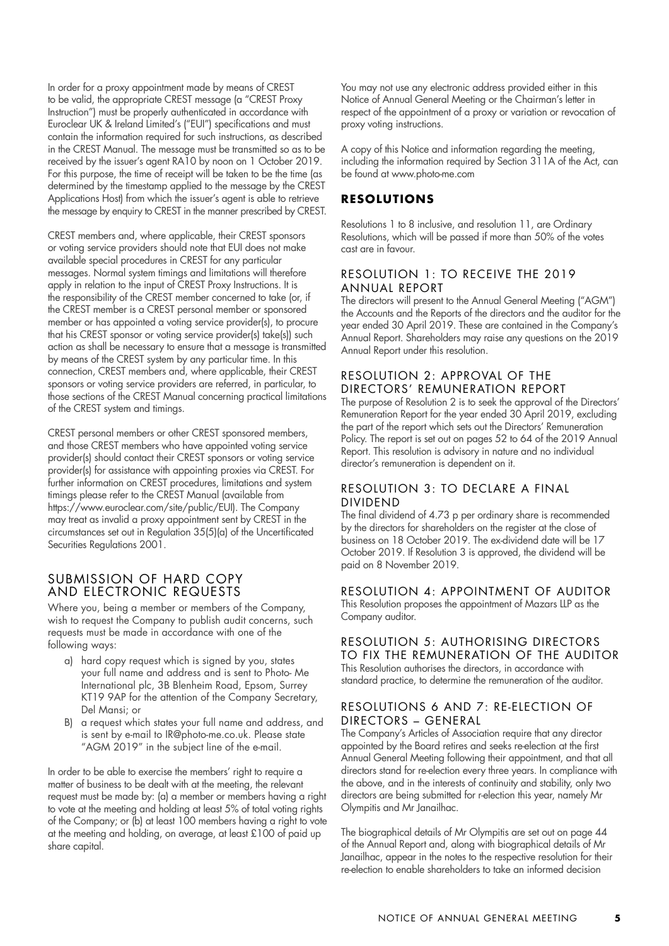In order for a proxy appointment made by means of CREST to be valid, the appropriate CREST message (a "CREST Proxy Instruction") must be properly authenticated in accordance with Euroclear UK & Ireland Limited's ("EUI") specifications and must contain the information required for such instructions, as described in the CREST Manual. The message must be transmitted so as to be received by the issuer's agent RA10 by noon on 1 October 2019. For this purpose, the time of receipt will be taken to be the time (as determined by the timestamp applied to the message by the CREST Applications Host) from which the issuer's agent is able to retrieve the message by enquiry to CREST in the manner prescribed by CREST.

CREST members and, where applicable, their CREST sponsors or voting service providers should note that EUI does not make available special procedures in CREST for any particular messages. Normal system timings and limitations will therefore apply in relation to the input of CREST Proxy Instructions. It is the responsibility of the CREST member concerned to take (or, if the CREST member is a CREST personal member or sponsored member or has appointed a voting service provider(s), to procure that his CREST sponsor or voting service provider(s) take(s)) such action as shall be necessary to ensure that a message is transmitted by means of the CREST system by any particular time. In this connection, CREST members and, where applicable, their CREST sponsors or voting service providers are referred, in particular, to those sections of the CREST Manual concerning practical limitations of the CREST system and timings.

CREST personal members or other CREST sponsored members, and those CREST members who have appointed voting service provider(s) should contact their CREST sponsors or voting service provider(s) for assistance with appointing proxies via CREST. For further information on CREST procedures, limitations and system timings please refer to the CREST Manual (available from https://www.euroclear.com/site/public/EUI). The Company may treat as invalid a proxy appointment sent by CREST in the circumstances set out in Regulation 35(5)(a) of the Uncertificated Securities Regulations 2001.

#### SUBMISSION OF HARD COPY AND ELECTRONIC REQUESTS

Where you, being a member or members of the Company, wish to request the Company to publish audit concerns, such requests must be made in accordance with one of the following ways:

- a) hard copy request which is signed by you, states your full name and address and is sent to Photo- Me International plc, 3B Blenheim Road, Epsom, Surrey KT19 9AP for the attention of the Company Secretary, Del Mansi; or
- B) a request which states your full name and address, and is sent by e-mail to IR@photo-me.co.uk. Please state "AGM 2019" in the subject line of the e-mail.

In order to be able to exercise the members' right to require a matter of business to be dealt with at the meeting, the relevant request must be made by: (a) a member or members having a right to vote at the meeting and holding at least 5% of total voting rights of the Company; or (b) at least 100 members having a right to vote at the meeting and holding, on average, at least £100 of paid up share capital.

You may not use any electronic address provided either in this Notice of Annual General Meeting or the Chairman's letter in respect of the appointment of a proxy or variation or revocation of proxy voting instructions.

A copy of this Notice and information regarding the meeting, including the information required by Section 311A of the Act, can be found at www.photo-me.com

#### **RESOLUTIONS**

Resolutions 1 to 8 inclusive, and resolution 11, are Ordinary Resolutions, which will be passed if more than 50% of the votes cast are in favour.

#### RESOLUTION 1: TO RECEIVE THE 2019 ANNUAL REPORT

The directors will present to the Annual General Meeting ("AGM") the Accounts and the Reports of the directors and the auditor for the year ended 30 April 2019. These are contained in the Company's Annual Report. Shareholders may raise any questions on the 2019 Annual Report under this resolution.

#### RESOLUTION 2: APPROVAL OF THE DIRECTORS' REMUNERATION REPORT

The purpose of Resolution 2 is to seek the approval of the Directors' Remuneration Report for the year ended 30 April 2019, excluding the part of the report which sets out the Directors' Remuneration Policy. The report is set out on pages 52 to 64 of the 2019 Annual Report. This resolution is advisory in nature and no individual director's remuneration is dependent on it.

#### RESOLUTION 3: TO DECLARE A FINAL DIVIDEND

The final dividend of 4.73 p per ordinary share is recommended by the directors for shareholders on the register at the close of business on 18 October 2019. The ex-dividend date will be 17 October 2019. If Resolution 3 is approved, the dividend will be paid on 8 November 2019.

#### RESOLUTION 4: APPOINTMENT OF AUDITOR

This Resolution proposes the appointment of Mazars LLP as the Company auditor.

#### RESOLUTION 5: AUTHORISING DIRECTORS TO FIX THE REMUNERATION OF THE AUDITOR

This Resolution authorises the directors, in accordance with standard practice, to determine the remuneration of the auditor.

#### RESOLUTIONS 6 AND 7: RE-ELECTION OF DIRECTORS – GENERAL

The Company's Articles of Association require that any director appointed by the Board retires and seeks re-election at the first Annual General Meeting following their appointment, and that all directors stand for re-election every three years. In compliance with the above, and in the interests of continuity and stability, only two directors are being submitted for r-election this year, namely Mr Olympitis and Mr Janailhac.

The biographical details of Mr Olympitis are set out on page 44 of the Annual Report and, along with biographical details of Mr Janailhac, appear in the notes to the respective resolution for their re-election to enable shareholders to take an informed decision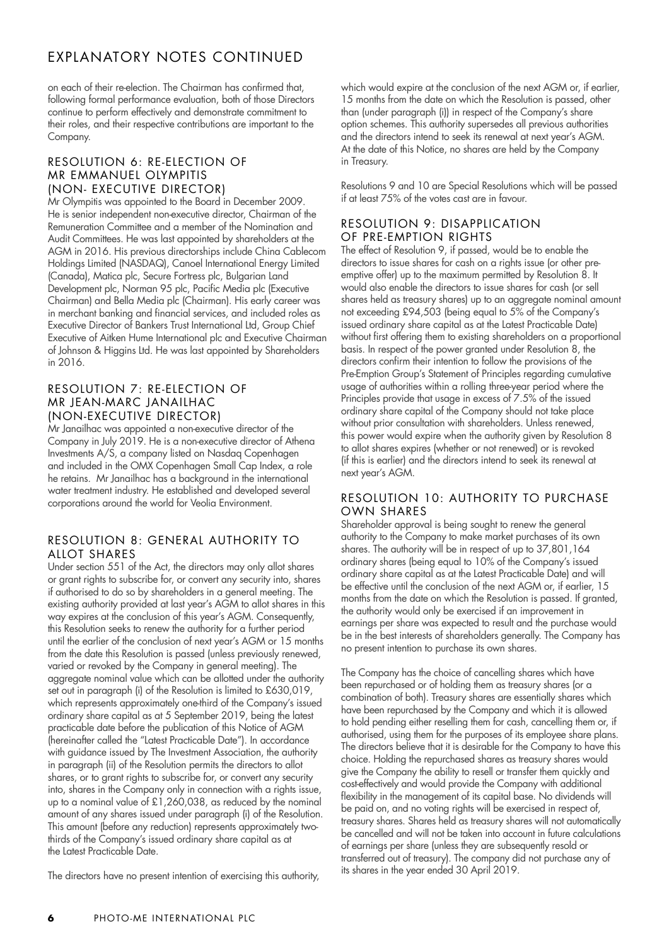## EXPLANATORY NOTES CONTINUED

on each of their re-election. The Chairman has confirmed that, following formal performance evaluation, both of those Directors continue to perform effectively and demonstrate commitment to their roles, and their respective contributions are important to the Company.

#### RESOLUTION 6: RE-ELECTION OF MR EMMANUEL OLYMPITIS (NON- EXECUTIVE DIRECTOR)

Mr Olympitis was appointed to the Board in December 2009. He is senior independent non-executive director, Chairman of the Remuneration Committee and a member of the Nomination and Audit Committees. He was last appointed by shareholders at the AGM in 2016. His previous directorships include China Cablecom Holdings Limited (NASDAQ), Canoel International Energy Limited (Canada), Matica plc, Secure Fortress plc, Bulgarian Land Development plc, Norman 95 plc, Pacific Media plc (Executive Chairman) and Bella Media plc (Chairman). His early career was in merchant banking and financial services, and included roles as Executive Director of Bankers Trust International Ltd, Group Chief Executive of Aitken Hume International plc and Executive Chairman of Johnson & Higgins Ltd. He was last appointed by Shareholders in 2016.

#### RESOLUTION 7: RE-ELECTION OF MR JEAN-MARC JANAILHAC (NON-EXECUTIVE DIRECTOR)

Mr Janailhac was appointed a non-executive director of the Company in July 2019. He is a non-executive director of Athena Investments A/S, a company listed on Nasdaq Copenhagen and included in the OMX Copenhagen Small Cap Index, a role he retains. Mr Janailhac has a background in the international water treatment industry. He established and developed several corporations around the world for Veolia Environment.

#### RESOLUTION 8: GENERAL AUTHORITY TO ALLOT SHARES

Under section 551 of the Act, the directors may only allot shares or grant rights to subscribe for, or convert any security into, shares if authorised to do so by shareholders in a general meeting. The existing authority provided at last year's AGM to allot shares in this way expires at the conclusion of this year's AGM. Consequently, this Resolution seeks to renew the authority for a further period until the earlier of the conclusion of next year's AGM or 15 months from the date this Resolution is passed (unless previously renewed, varied or revoked by the Company in general meeting). The aggregate nominal value which can be allotted under the authority set out in paragraph (i) of the Resolution is limited to £630,019, which represents approximately one-third of the Company's issued ordinary share capital as at 5 September 2019, being the latest practicable date before the publication of this Notice of AGM (hereinafter called the "Latest Practicable Date"). In accordance with guidance issued by The Investment Association, the authority in paragraph (ii) of the Resolution permits the directors to allot shares, or to grant rights to subscribe for, or convert any security into, shares in the Company only in connection with a rights issue, up to a nominal value of £1,260,038, as reduced by the nominal amount of any shares issued under paragraph (i) of the Resolution. This amount (before any reduction) represents approximately twothirds of the Company's issued ordinary share capital as at the Latest Practicable Date.

The directors have no present intention of exercising this authority,

which would expire at the conclusion of the next AGM or, if earlier, 15 months from the date on which the Resolution is passed, other than (under paragraph (i)) in respect of the Company's share option schemes. This authority supersedes all previous authorities and the directors intend to seek its renewal at next year's AGM. At the date of this Notice, no shares are held by the Company in Treasury.

Resolutions 9 and 10 are Special Resolutions which will be passed if at least 75% of the votes cast are in favour.

#### RESOLUTION 9: DISAPPLICATION OF PRE-EMPTION RIGHTS

The effect of Resolution 9, if passed, would be to enable the directors to issue shares for cash on a rights issue (or other preemptive offer) up to the maximum permitted by Resolution 8. It would also enable the directors to issue shares for cash (or sell shares held as treasury shares) up to an aggregate nominal amount not exceeding £94,503 (being equal to 5% of the Company's issued ordinary share capital as at the Latest Practicable Date) without first offering them to existing shareholders on a proportional basis. In respect of the power granted under Resolution 8, the directors confirm their intention to follow the provisions of the Pre-Emption Group's Statement of Principles regarding cumulative usage of authorities within a rolling three-year period where the Principles provide that usage in excess of 7.5% of the issued ordinary share capital of the Company should not take place without prior consultation with shareholders. Unless renewed, this power would expire when the authority given by Resolution 8 to allot shares expires (whether or not renewed) or is revoked (if this is earlier) and the directors intend to seek its renewal at next year's AGM.

#### RESOLUTION 10: AUTHORITY TO PURCHASE OWN SHARES

Shareholder approval is being sought to renew the general authority to the Company to make market purchases of its own shares. The authority will be in respect of up to 37,801,164 ordinary shares (being equal to 10% of the Company's issued ordinary share capital as at the Latest Practicable Date) and will be effective until the conclusion of the next AGM or, if earlier, 15 months from the date on which the Resolution is passed. If granted, the authority would only be exercised if an improvement in earnings per share was expected to result and the purchase would be in the best interests of shareholders generally. The Company has no present intention to purchase its own shares.

The Company has the choice of cancelling shares which have been repurchased or of holding them as treasury shares (or a combination of both). Treasury shares are essentially shares which have been repurchased by the Company and which it is allowed to hold pending either reselling them for cash, cancelling them or, if authorised, using them for the purposes of its employee share plans. The directors believe that it is desirable for the Company to have this choice. Holding the repurchased shares as treasury shares would give the Company the ability to resell or transfer them quickly and cost-effectively and would provide the Company with additional flexibility in the management of its capital base. No dividends will be paid on, and no voting rights will be exercised in respect of, treasury shares. Shares held as treasury shares will not automatically be cancelled and will not be taken into account in future calculations of earnings per share (unless they are subsequently resold or transferred out of treasury). The company did not purchase any of its shares in the year ended 30 April 2019.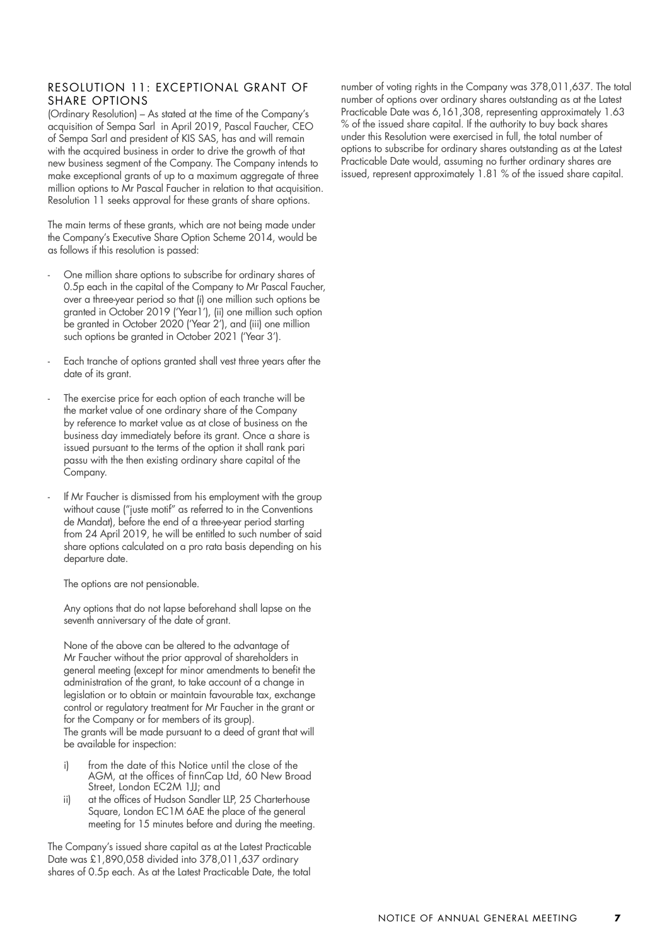#### RESOLUTION 11: EXCEPTIONAL GRANT OF SHARE OPTIONS

(Ordinary Resolution) – As stated at the time of the Company's acquisition of Sempa Sarl in April 2019, Pascal Faucher, CEO of Sempa Sarl and president of KIS SAS, has and will remain with the acquired business in order to drive the growth of that new business segment of the Company. The Company intends to make exceptional grants of up to a maximum aggregate of three million options to Mr Pascal Faucher in relation to that acquisition. Resolution 11 seeks approval for these grants of share options.

The main terms of these grants, which are not being made under the Company's Executive Share Option Scheme 2014, would be as follows if this resolution is passed:

- One million share options to subscribe for ordinary shares of 0.5p each in the capital of the Company to Mr Pascal Faucher, over a three-year period so that (i) one million such options be granted in October 2019 ('Year1'), (ii) one million such option be granted in October 2020 ('Year 2'), and (iii) one million such options be granted in October 2021 ('Year 3').
- Each tranche of options granted shall vest three years after the date of its grant.
- The exercise price for each option of each tranche will be the market value of one ordinary share of the Company by reference to market value as at close of business on the business day immediately before its grant. Once a share is issued pursuant to the terms of the option it shall rank pari passu with the then existing ordinary share capital of the Company.
- If Mr Faucher is dismissed from his employment with the group without cause ("juste motif" as referred to in the Conventions de Mandat), before the end of a three-year period starting from 24 April 2019, he will be entitled to such number of said share options calculated on a pro rata basis depending on his departure date.

The options are not pensionable.

Any options that do not lapse beforehand shall lapse on the seventh anniversary of the date of grant.

None of the above can be altered to the advantage of Mr Faucher without the prior approval of shareholders in general meeting (except for minor amendments to benefit the administration of the grant, to take account of a change in legislation or to obtain or maintain favourable tax, exchange control or regulatory treatment for Mr Faucher in the grant or for the Company or for members of its group). The grants will be made pursuant to a deed of grant that will be available for inspection:

- i) from the date of this Notice until the close of the AGM, at the offices of finnCap Ltd, 60 New Broad Street, London EC2M 1JJ; and
- ii) at the offices of Hudson Sandler LLP, 25 Charterhouse Square, London EC1M 6AE the place of the general meeting for 15 minutes before and during the meeting.

The Company's issued share capital as at the Latest Practicable Date was £1,890,058 divided into 378,011,637 ordinary shares of 0.5p each. As at the Latest Practicable Date, the total

number of voting rights in the Company was 378,011,637. The total number of options over ordinary shares outstanding as at the Latest Practicable Date was 6,161,308, representing approximately 1.63 % of the issued share capital. If the authority to buy back shares under this Resolution were exercised in full, the total number of options to subscribe for ordinary shares outstanding as at the Latest Practicable Date would, assuming no further ordinary shares are issued, represent approximately 1.81 % of the issued share capital.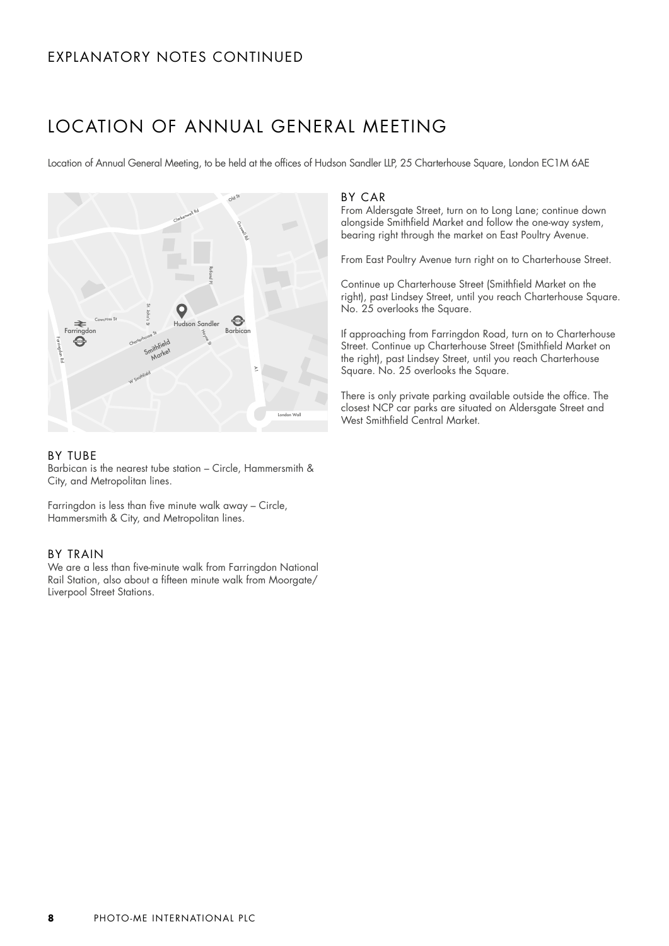## EXPLANATORY NOTES CONTINUED

## LOCATION OF ANNUAL GENERAL MEETING

Location of Annual General Meeting, to be held at the offices of Hudson Sandler LLP, 25 Charterhouse Square, London EC1M 6AE



#### BY TUBE

Barbican is the nearest tube station – Circle, Hammersmith & City, and Metropolitan lines.

Farringdon is less than five minute walk away – Circle, Hammersmith & City, and Metropolitan lines.

#### BY TRAIN

We are a less than five-minute walk from Farringdon National Rail Station, also about a fifteen minute walk from Moorgate/ Liverpool Street Stations.

#### BY CAR

From Aldersgate Street, turn on to Long Lane; continue down alongside Smithfield Market and follow the one-way system, bearing right through the market on East Poultry Avenue.

From East Poultry Avenue turn right on to Charterhouse Street.

Continue up Charterhouse Street (Smithfield Market on the right), past Lindsey Street, until you reach Charterhouse Square. No. 25 overlooks the Square.

If approaching from Farringdon Road, turn on to Charterhouse Street. Continue up Charterhouse Street (Smithfield Market on the right), past Lindsey Street, until you reach Charterhouse Square. No. 25 overlooks the Square.

There is only private parking available outside the office. The closest NCP car parks are situated on Aldersgate Street and West Smithfield Central Market.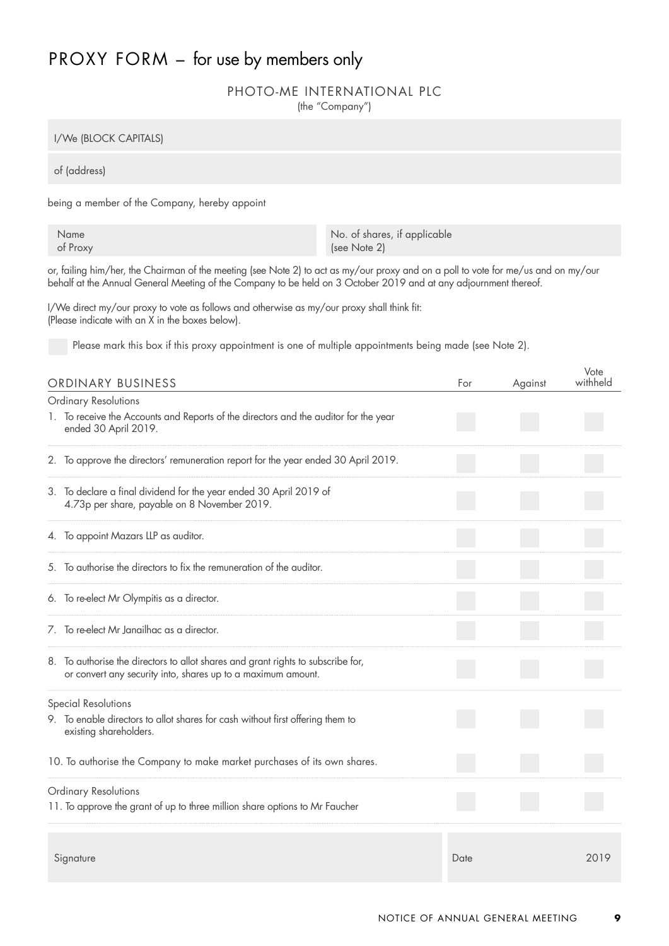## PROXY FORM - for use by members only

#### PHOTO-ME INTERNATIONAL PLC

(the "Company")

I/We (BLOCK CAPITALS)

of (address)

being a member of the Company, hereby appoint

Name No. of shares, if applicable of Proxy (see Note 2)

or, failing him/her, the Chairman of the meeting (see Note 2) to act as my/our proxy and on a poll to vote for me/us and on my/our behalf at the Annual General Meeting of the Company to be held on 3 October 2019 and at any adjournment thereof.

I/We direct my/our proxy to vote as follows and otherwise as my/our proxy shall think fit: (Please indicate with an X in the boxes below).

Please mark this box if this proxy appointment is one of multiple appointments being made (see Note 2).

| ORDINARY BUSINESS                                                                                                                                | For  | Against | Vote<br>withheld |
|--------------------------------------------------------------------------------------------------------------------------------------------------|------|---------|------------------|
| <b>Ordinary Resolutions</b>                                                                                                                      |      |         |                  |
| 1. To receive the Accounts and Reports of the directors and the auditor for the year<br>ended 30 April 2019.                                     |      |         |                  |
| 2. To approve the directors' remuneration report for the year ended 30 April 2019.                                                               |      |         |                  |
| 3. To declare a final dividend for the year ended 30 April 2019 of<br>4.73p per share, payable on 8 November 2019.                               |      |         |                  |
| 4. To appoint Mazars LLP as auditor.                                                                                                             |      |         |                  |
| 5. To authorise the directors to fix the remuneration of the auditor.                                                                            |      |         |                  |
| 6. To re-elect Mr Olympitis as a director.                                                                                                       |      |         |                  |
| 7. To re-elect Mr Janailhac as a director.                                                                                                       |      |         |                  |
| 8. To authorise the directors to allot shares and grant rights to subscribe for,<br>or convert any security into, shares up to a maximum amount. |      |         |                  |
| <b>Special Resolutions</b>                                                                                                                       |      |         |                  |
| 9. To enable directors to allot shares for cash without first offering them to<br>existing shareholders.                                         |      |         |                  |
| 10. To authorise the Company to make market purchases of its own shares.                                                                         |      |         |                  |
| Ordinary Resolutions                                                                                                                             |      |         |                  |
| 11. To approve the grant of up to three million share options to Mr Faucher                                                                      |      |         |                  |
|                                                                                                                                                  |      |         |                  |
| Signature                                                                                                                                        | Date |         | 2019             |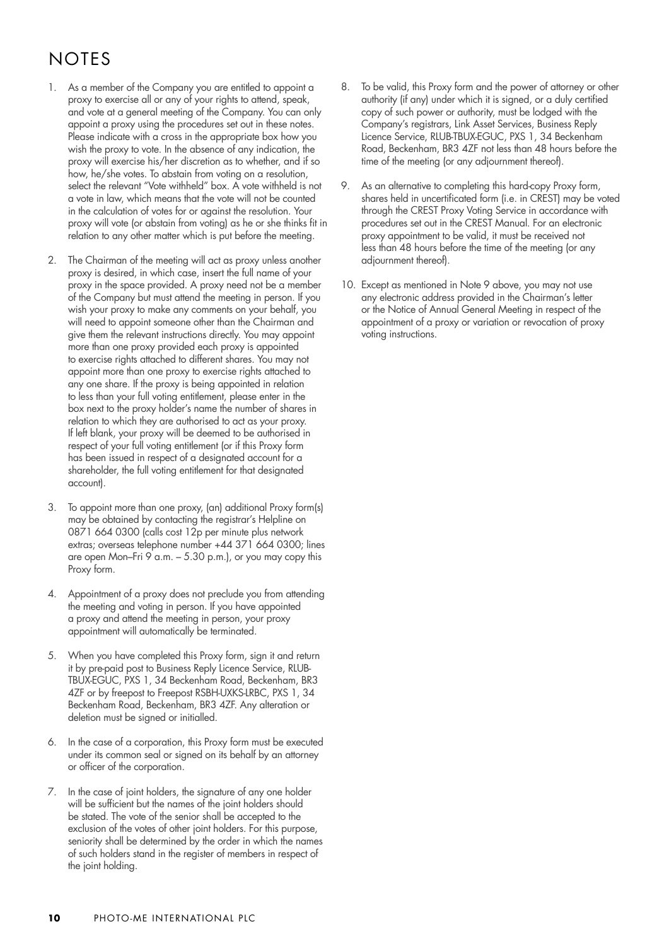# **NOTES**

- 1. As a member of the Company you are entitled to appoint a proxy to exercise all or any of your rights to attend, speak, and vote at a general meeting of the Company. You can only appoint a proxy using the procedures set out in these notes. Please indicate with a cross in the appropriate box how you wish the proxy to vote. In the absence of any indication, the proxy will exercise his/her discretion as to whether, and if so how, he/she votes. To abstain from voting on a resolution, select the relevant "Vote withheld" box. A vote withheld is not a vote in law, which means that the vote will not be counted in the calculation of votes for or against the resolution. Your proxy will vote (or abstain from voting) as he or she thinks fit in relation to any other matter which is put before the meeting.
- 2. The Chairman of the meeting will act as proxy unless another proxy is desired, in which case, insert the full name of your proxy in the space provided. A proxy need not be a member of the Company but must attend the meeting in person. If you wish your proxy to make any comments on your behalf, you will need to appoint someone other than the Chairman and give them the relevant instructions directly. You may appoint more than one proxy provided each proxy is appointed to exercise rights attached to different shares. You may not appoint more than one proxy to exercise rights attached to any one share. If the proxy is being appointed in relation to less than your full voting entitlement, please enter in the box next to the proxy holder's name the number of shares in relation to which they are authorised to act as your proxy. If left blank, your proxy will be deemed to be authorised in respect of your full voting entitlement (or if this Proxy form has been issued in respect of a designated account for a shareholder, the full voting entitlement for that designated account).
- 3. To appoint more than one proxy, (an) additional Proxy form(s) may be obtained by contacting the registrar's Helpline on 0871 664 0300 (calls cost 12p per minute plus network extras; overseas telephone number +44 371 664 0300; lines are open Mon–Fri 9 a.m. – 5.30 p.m.), or you may copy this Proxy form.
- 4. Appointment of a proxy does not preclude you from attending the meeting and voting in person. If you have appointed a proxy and attend the meeting in person, your proxy appointment will automatically be terminated.
- 5. When you have completed this Proxy form, sign it and return it by pre-paid post to Business Reply Licence Service, RLUB-TBUX-EGUC, PXS 1, 34 Beckenham Road, Beckenham, BR3 4ZF or by freepost to Freepost RSBH-UXKS-LRBC, PXS 1, 34 Beckenham Road, Beckenham, BR3 4ZF. Any alteration or deletion must be signed or initialled.
- 6. In the case of a corporation, this Proxy form must be executed under its common seal or signed on its behalf by an attorney or officer of the corporation.
- 7. In the case of joint holders, the signature of any one holder will be sufficient but the names of the joint holders should be stated. The vote of the senior shall be accepted to the exclusion of the votes of other joint holders. For this purpose, seniority shall be determined by the order in which the names of such holders stand in the register of members in respect of the joint holding.
- 8. To be valid, this Proxy form and the power of attorney or other authority (if any) under which it is signed, or a duly certified copy of such power or authority, must be lodged with the Company's registrars, Link Asset Services, Business Reply Licence Service, RLUB-TBUX-EGUC, PXS 1, 34 Beckenham Road, Beckenham, BR3 4ZF not less than 48 hours before the time of the meeting (or any adjournment thereof).
- 9. As an alternative to completing this hard-copy Proxy form, shares held in uncertificated form (i.e. in CREST) may be voted through the CREST Proxy Voting Service in accordance with procedures set out in the CREST Manual. For an electronic proxy appointment to be valid, it must be received not less than 48 hours before the time of the meeting (or any adjournment thereof).
- 10. Except as mentioned in Note 9 above, you may not use any electronic address provided in the Chairman's letter or the Notice of Annual General Meeting in respect of the appointment of a proxy or variation or revocation of proxy voting instructions.